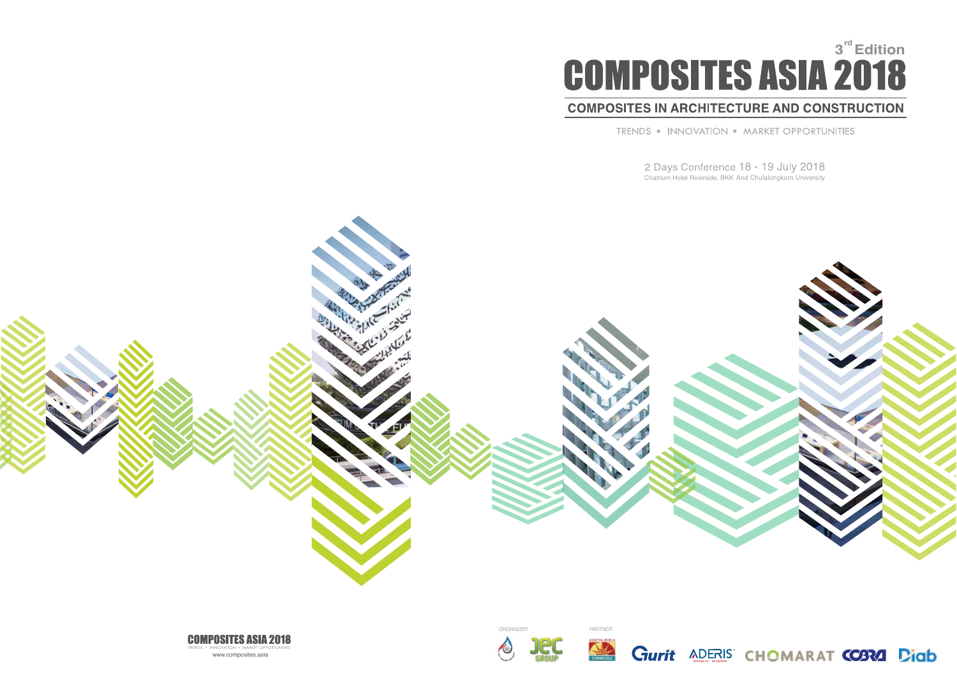# **3<sup><sup>rd</sup>** Edition</sup>

# **COMPOSITES IN ARCHITECTURE AND CONSTRUCTION**

TRENDS . INNOVATION . MARKET OPPORTUNITIES

2 Days Conference 18 - 19 July 2018<br>Chatrium Hotel Riverside, BKK And Chulalongkorn University









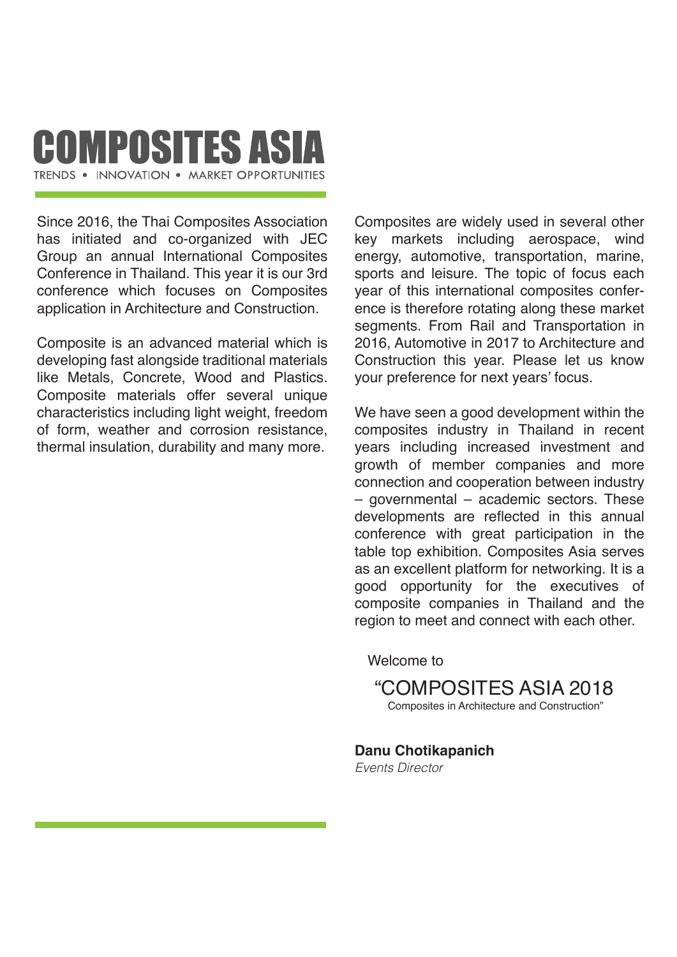# **COMPOSITES ASIA** TRENDS . INNOVATION . MARKET OPPORTUNITIES

Since 2016, the Thai Composites Association has initiated and co-organized with JEC Group an annual International Composites Conference in Thailand. This year it is our 3rd conference which focuses on Composites application in Architecture and Construction.

Composite is an advanced material which is developing fast alongside traditional materials like Metals, Concrete, Wood and Plastics. Composite materials offer several unique characteristics including light weight, freedom of form, weather and corrosion resistance, thermal insulation, durability and many more.

Composites are widely used in several other key markets including aerospace, wind energy, automotive, transportation, marine, sports and leisure. The topic of focus each year of this international composites conference is therefore rotating along these market segments. From Rail and Transportation in 2016, Automotive in 2017 to Architecture and Construction this year. Please let us know your preference for next years' focus.

We have seen a good development within the composites industry in Thailand in recent years including increased investment and growth of member companies and more connection and cooperation between industry – governmental – academic sectors. These developments are reflected in this annual conference with great participation in the table top exhibition. Composites Asia serves as an excellent platform for networking. It is a good opportunity for the executives of composite companies in Thailand and the region to meet and connect with each other.

Welcome to

"COMPOSITES ASIA 2018

Composites in Architecture and Construction"

**Danu Chotikapanich**

*Events Director*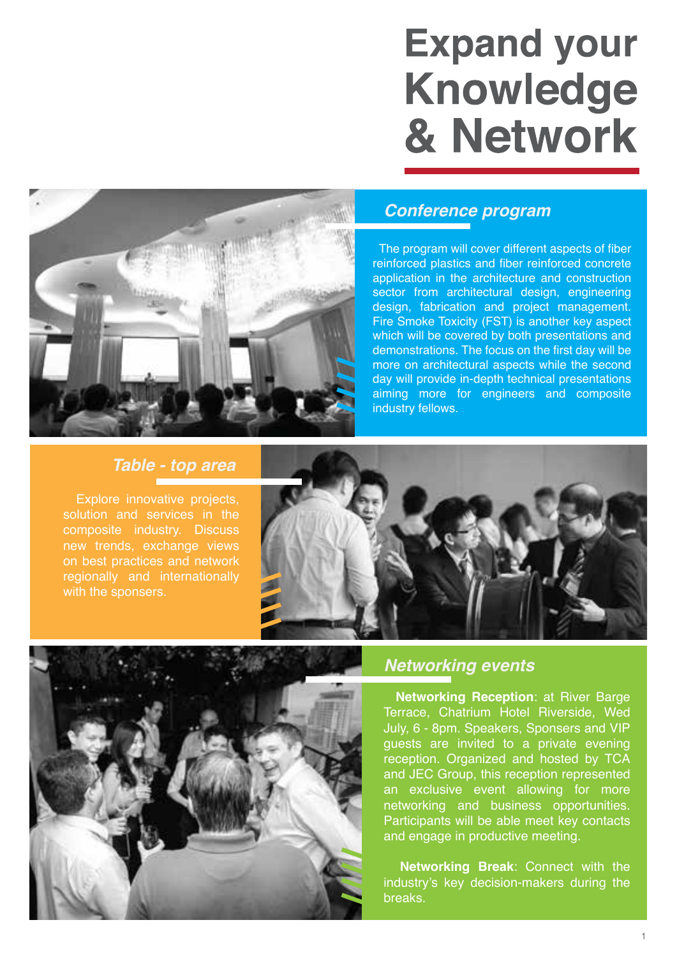# **Expand your Knowledge** & Network



# *Conference program*

 The program will cover different aspects of fiber reinforced plastics and fiber reinforced concrete application in the architecture and construction sector from architectural design, engineering design, fabrication and project management. Fire Smoke Toxicity (FST) is another key aspect which will be covered by both presentations and demonstrations. The focus on the first day will be more on architectural aspects while the second day will provide in-depth technical presentations aiming more for engineers and composite industry fellows.

# *Table - top area*

 Explore innovative projects, solution and services in the composite industry. Discuss with the sponsers.





# *Networking events*

 **Networking Reception**: at River Barge Terrace, Chatrium Hotel Riverside, Wed July, 6 - 8pm. Speakers, Sponsers and VIP guests are invited to a private evening reception. Organized and hosted by TCA and JEC Group, this reception represented an exclusive event allowing for more networking and business opportunities. Participants will be able meet key contacts and engage in productive meeting.

 **Networking Break**: Connect with the industry's key decision-makers during the breaks.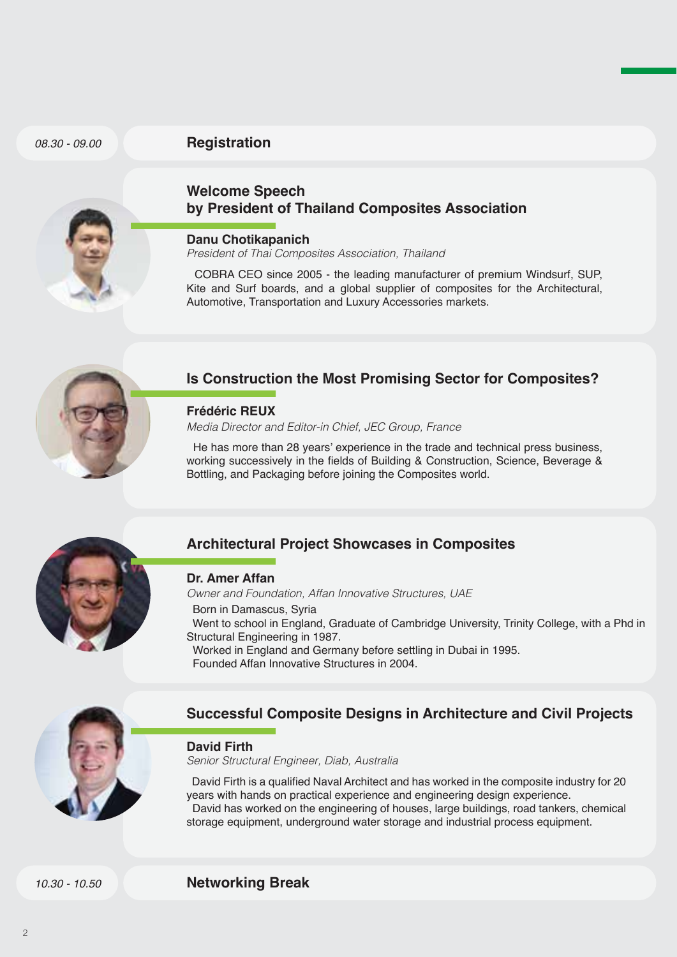#### *08.30 - 09.00*

#### **Registration**



## **Welcome Speech by President of Thailand Composites Association**

#### **Danu Chotikapanich**

*President of Thai Composites Association, Thailand*

COBRA CEO since 2005 - the leading manufacturer of premium Windsurf, SUP Kite and Surf boards, and a global supplier of composites for the Architectural, Automotive, Transportation and Luxury Accessories markets.



# **Is Construction the Most Promising Sector for Composites?**

#### **Frédéric REUX**

*Media Director and Editor-in Chief, JEC Group, France*

 He has more than 28 years' experience in the trade and technical press business, working successively in the fields of Building & Construction, Science, Beverage & Bottling, and Packaging before joining the Composites world.



# **Architectural Project Showcases in Composites**

#### **Dr. Amer Affan**

*Owner and Foundation, Affan Innovative Structures, UAE*

- Born in Damascus, Syria
- Went to school in England, Graduate of Cambridge University, Trinity College, with a Phd in Structural Engineering in 1987.
- Worked in England and Germany before settling in Dubai in 1995.
- Founded Affan Innovative Structures in 2004.



# **Successful Composite Designs in Architecture and Civil Projects**

#### **David Firth**

*Senior Structural Engineer, Diab, Australia*

 David Firth is a qualified Naval Architect and has worked in the composite industry for 20 years with hands on practical experience and engineering design experience. David has worked on the engineering of houses, large buildings, road tankers, chemical storage equipment, underground water storage and industrial process equipment.

*10.30 - 10.50*

**Networking Break**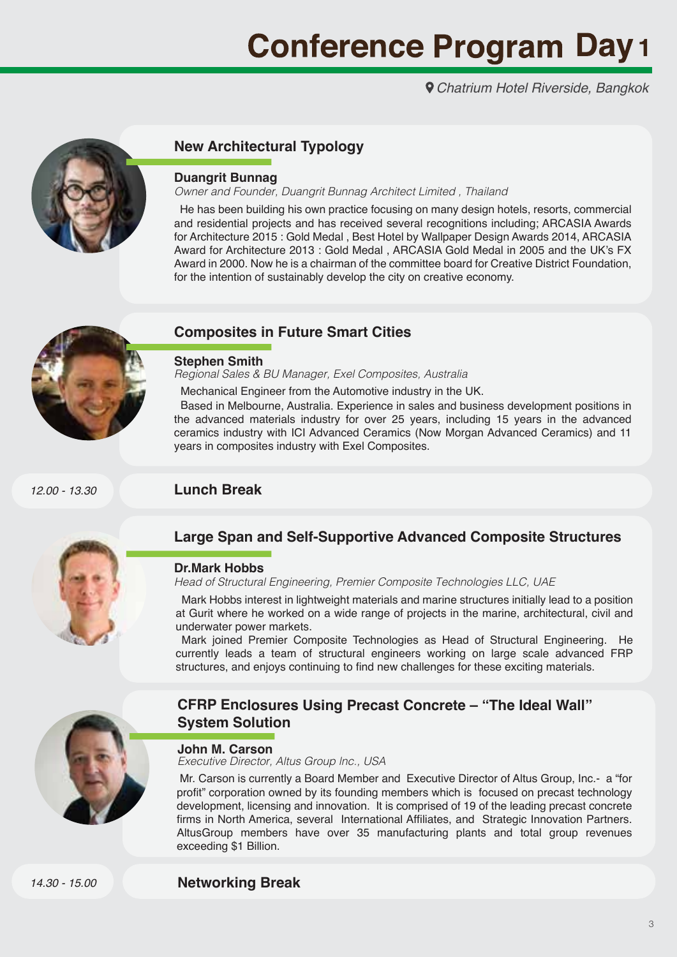*Chatrium Hotel Riverside, Bangkok*



# **New Architectural Typology**

#### **Duangrit Bunnag**

*Owner and Founder, Duangrit Bunnag Architect Limited , Thailand*

 He has been building his own practice focusing on many design hotels, resorts, commercial and residential projects and has received several recognitions including; ARCASIA Awards for Architecture 2015 : Gold Medal , Best Hotel by Wallpaper Design Awards 2014, ARCASIA Award for Architecture 2013 : Gold Medal , ARCASIA Gold Medal in 2005 and the UK's FX Award in 2000. Now he is a chairman of the committee board for Creative District Foundation, for the intention of sustainably develop the city on creative economy.



#### **Composites in Future Smart Cities**

#### **Stephen Smith**

*Regional Sales & BU Manager, Exel Composites, Australia* 

Mechanical Engineer from the Automotive industry in the UK.

 Based in Melbourne, Australia. Experience in sales and business development positions in the advanced materials industry for over 25 years, including 15 years in the advanced ceramics industry with ICI Advanced Ceramics (Now Morgan Advanced Ceramics) and 11 years in composites industry with Exel Composites.

*12.00 - 13.30*





## **Large Span and Self-Supportive Advanced Composite Structures**

#### **Dr.Mark Hobbs**

*Head of Structural Engineering, Premier Composite Technologies LLC, UAE*

 Mark Hobbs interest in lightweight materials and marine structures initially lead to a position at Gurit where he worked on a wide range of projects in the marine, architectural, civil and underwater power markets.

 Mark joined Premier Composite Technologies as Head of Structural Engineering. He currently leads a team of structural engineers working on large scale advanced FRP structures, and enjoys continuing to find new challenges for these exciting materials.



# **CFRP Enclosures Using Precast Concrete – "The Ideal Wall" System Solution**

#### **John M. Carson**

*Executive Director, Altus Group lnc., USA*

 Mr. Carson is currently a Board Member and Executive Director of Altus Group, Inc.- a "for profit" corporation owned by its founding members which is focused on precast technology development, licensing and innovation. It is comprised of 19 of the leading precast concrete firms in North America, several International Affiliates, and Strategic Innovation Partners. AltusGroup members have over 35 manufacturing plants and total group revenues exceeding \$1 Billion.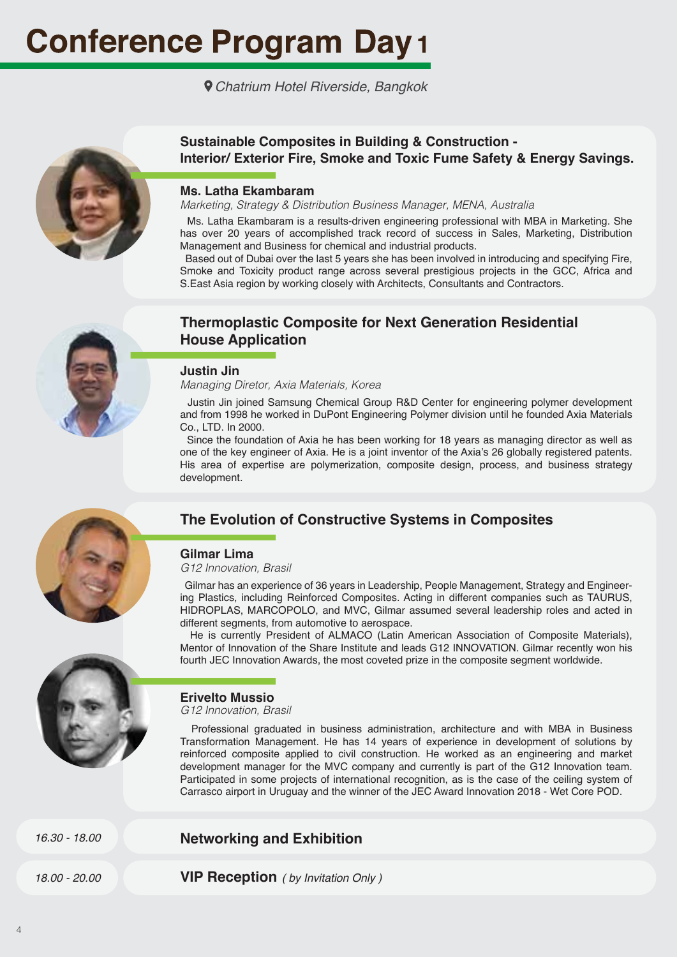*Chatrium Hotel Riverside, Bangkok*



#### **Sustainable Composites in Building & Construction - Interior/ Exterior Fire, Smoke and Toxic Fume Safety & Energy Savings.**

#### **Ms. Latha Ekambaram**

*Marketing, Strategy & Distribution Business Manager, MENA, Australia*

 Ms. Latha Ekambaram is a results-driven engineering professional with MBA in Marketing. She has over 20 years of accomplished track record of success in Sales, Marketing, Distribution Management and Business for chemical and industrial products.

 Based out of Dubai over the last 5 years she has been involved in introducing and specifying Fire, Smoke and Toxicity product range across several prestigious projects in the GCC, Africa and S. East Asia region by working closely with Architects, Consultants and Contractors.



# **Thermoplastic Composite for Next Generation Residential House Application**

#### **Justin Jin**

*Managing Diretor, Axia Materials, Korea*

 Justin Jin joined Samsung Chemical Group R&D Center for engineering polymer development and from 1998 he worked in DuPont Engineering Polymer division until he founded Axia Materials Co., LTD. In 2000.

 Since the foundation of Axia he has been working for 18 years as managing director as well as one of the key engineer of Axia. He is a joint inventor of the Axia's 26 globally registered patents. His area of expertise are polymerization, composite design, process, and business strategy development.



# **The Evolution of Constructive Systems in Composites**

#### **Gilmar Lima**

*G12 Innovation, Brasil*

 Gilmar has an experience of 36 years in Leadership, People Management, Strategy and Engineering Plastics, including Reinforced Composites. Acting in different companies such as TAURUS, HIDROPLAS, MARCOPOLO, and MVC, Gilmar assumed several leadership roles and acted in different segments, from automotive to aerospace.

 He is currently President of ALMACO (Latin American Association of Composite Materials), Mentor of Innovation of the Share Institute and leads G12 INNOVATION. Gilmar recently won his fourth JEC Innovation Awards, the most coveted prize in the composite segment worldwide.

## **Erivelto Mussio**

*G12 Innovation, Brasil*

 Professional graduated in business administration, architecture and with MBA in Business Transformation Management. He has 14 years of experience in development of solutions by reinforced composite applied to civil construction. He worked as an engineering and market development manager for the MVC company and currently is part of the G12 Innovation team. Participated in some projects of international recognition, as is the case of the ceiling system of Carrasco airport in Uruguay and the winner of the JEC Award Innovation 2018 - Wet Core POD.

*16.30 - 18.00*

## **Networking and Exhibition**

**VIP Reception** *18.00 - 20.00 ( by Invitation Only )*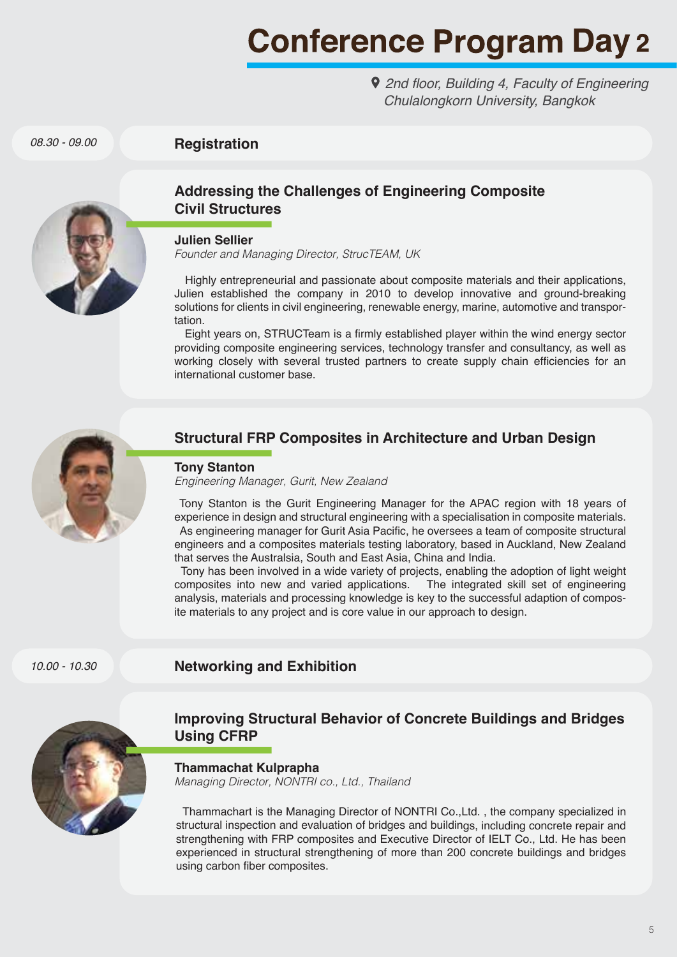2nd floor, Building 4, Faculty of Engineering *Chulalongkorn University, Bangkok*

**Registration**



*08.30 - 09.00*

# **Addressing the Challenges of Engineering Composite Civil Structures**

#### **Julien Sellier**

*Founder and Managing Director, StrucTEAM, UK*

 Highly entrepreneurial and passionate about composite materials and their applications, Julien established the company in 2010 to develop innovative and ground-breaking solutions for clients in civil engineering, renewable energy, marine, automotive and transportation.

 Eight years on, STRUCTeam is a firmly established player within the wind energy sector providing composite engineering services, technology transfer and consultancy, as well as working closely with several trusted partners to create supply chain efficiencies for an international customer base.



# **Structural FRP Composites in Architecture and Urban Design**

#### **Tony Stanton**

*Engineering Manager, Gurit, New Zealand*

 Tony Stanton is the Gurit Engineering Manager for the APAC region with 18 years of experience in design and structural engineering with a specialisation in composite materials. As engineering manager for Gurit Asia Pacific, he oversees a team of composite structural engineers and a composites materials testing laboratory, based in Auckland, New Zealand that serves the Australsia, South and East Asia, China and India.

 Tony has been involved in a wide variety of projects, enabling the adoption of light weight composites into new and varied applications. The integrated skill set of engineering analysis, materials and processing knowledge is key to the successful adaption of composite materials to any project and is core value in our approach to design.

*10.00 - 10.30*

## **Networking and Exhibition**



## **Improving Structural Behavior of Concrete Buildings and Bridges Using CFRP**

**Thammachat Kulprapha**

*Managing Director, NONTRI co., Ltd., Thailand*

 Thammachart is the Managing Director of NONTRI Co.,Ltd. , the company specialized in structural inspection and evaluation of bridges and buildings, including concrete repair and strengthening with FRP composites and Executive Director of IELT Co., Ltd. He has been experienced in structural strengthening of more than 200 concrete buildings and bridges using carbon fiber composites.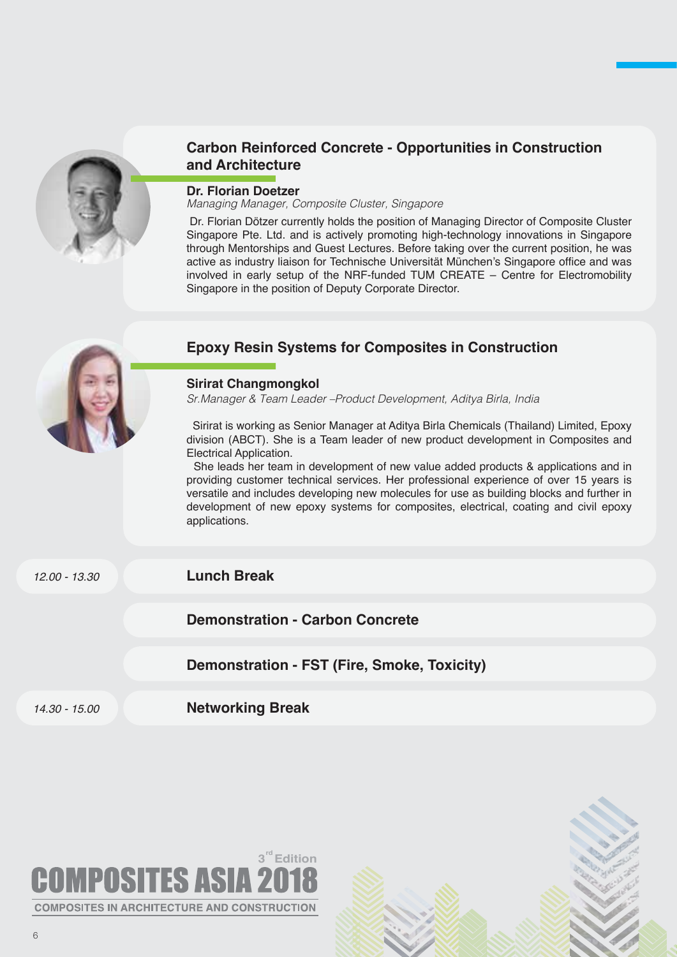

# **Carbon Reinforced Concrete - Opportunities in Construction and Architecture**

#### **Dr. Florian Doetzer**

*Managing Manager, Composite Cluster, Singapore* 

 Dr. Florian Dötzer currently holds the position of Managing Director of Composite Cluster Singapore Pte. Ltd. and is actively promoting high-technology innovations in Singapore through Mentorships and Guest Lectures. Before taking over the current position, he was active as industry liaison for Technische Universität München's Singapore office and was involved in early setup of the NRF-funded TUM CREATE – Centre for Electromobility Singapore in the position of Deputy Corporate Director.



*Sr.Manager & Team Leader –Product Development, Aditya Birla, India* 

 Sirirat is working as Senior Manager at Aditya Birla Chemicals (Thailand) Limited, Epoxy division (ABCT). She is a Team leader of new product development in Composites and Electrical Application.

 She leads her team in development of new value added products & applications and in providing customer technical services. Her professional experience of over 15 years is versatile and includes developing new molecules for use as building blocks and further in development of new epoxy systems for composites, electrical, coating and civil epoxy applications.

*12.00 - 13.30*

## **Lunch Break**

**Demonstration - Carbon Concrete**

**Demonstration - FST (Fire, Smoke, Toxicity)** 

*14.30 - 15.00*

**Networking Break**

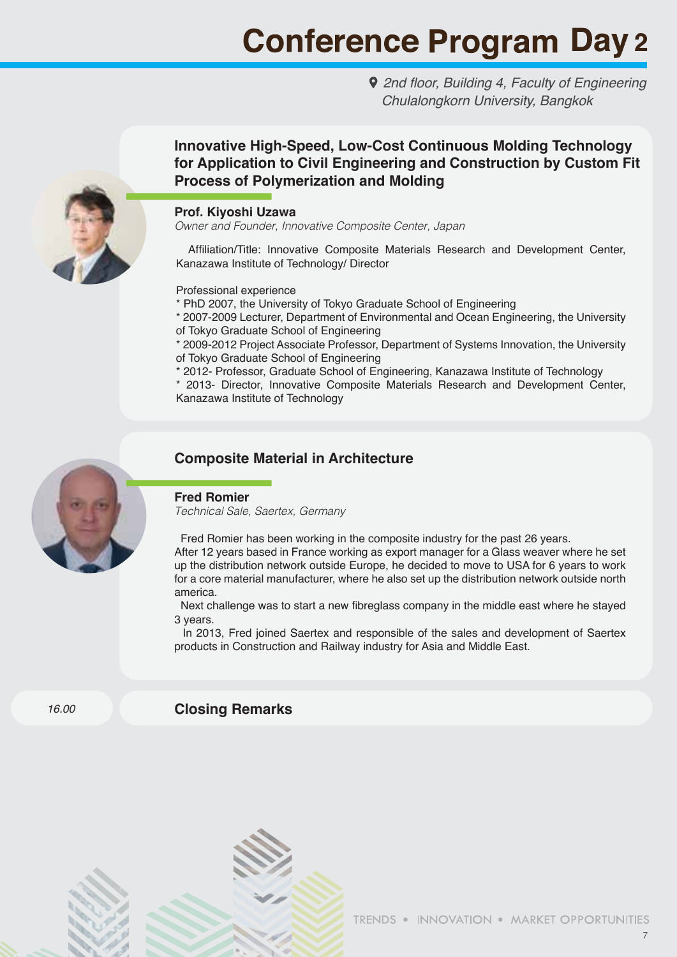2nd floor, Building 4, Faculty of Engineering *Chulalongkorn University, Bangkok*



# **Innovative High-Speed, Low-Cost Continuous Molding Technology for Application to Civil Engineering and Construction by Custom Fit Process of Polymerization and Molding**

#### **Prof. Kiyoshi Uzawa**

*Owner and Founder, Innovative Composite Center, Japan*

 Affiliation/Title: Innovative Composite Materials Research and Development Center, Kanazawa Institute of Technology/ Director

Professional experience

\* PhD 2007, the University of Tokyo Graduate School of Engineering

\* 2007-2009 Lecturer, Department of Environmental and Ocean Engineering, the University of Tokyo Graduate School of Engineering

\* 2009-2012 Project Associate Professor, Department of Systems Innovation, the University of Tokyo Graduate School of Engineering

\* 2012- Professor, Graduate School of Engineering, Kanazawa Institute of Technology

\* 2013- Director, Innovative Composite Materials Research and Development Center, Kanazawa Institute of Technology



## **Composite Material in Architecture**

#### **Fred Romier**

*Technical Sale, Saertex, Germany*

Fred Romier has been working in the composite industry for the past 26 years.

After 12 years based in France working as export manager for a Glass weaver where he set up the distribution network outside Europe, he decided to move to USA for 6 years to work for a core material manufacturer, where he also set up the distribution network outside north america.

 Next challenge was to start a new fibreglass company in the middle east where he stayed 3 years.

In 2013, Fred joined Saertex and responsible of the sales and development of Saertex products in Construction and Railway industry for Asia and Middle East.

*16.00*

### **Closing Remarks**

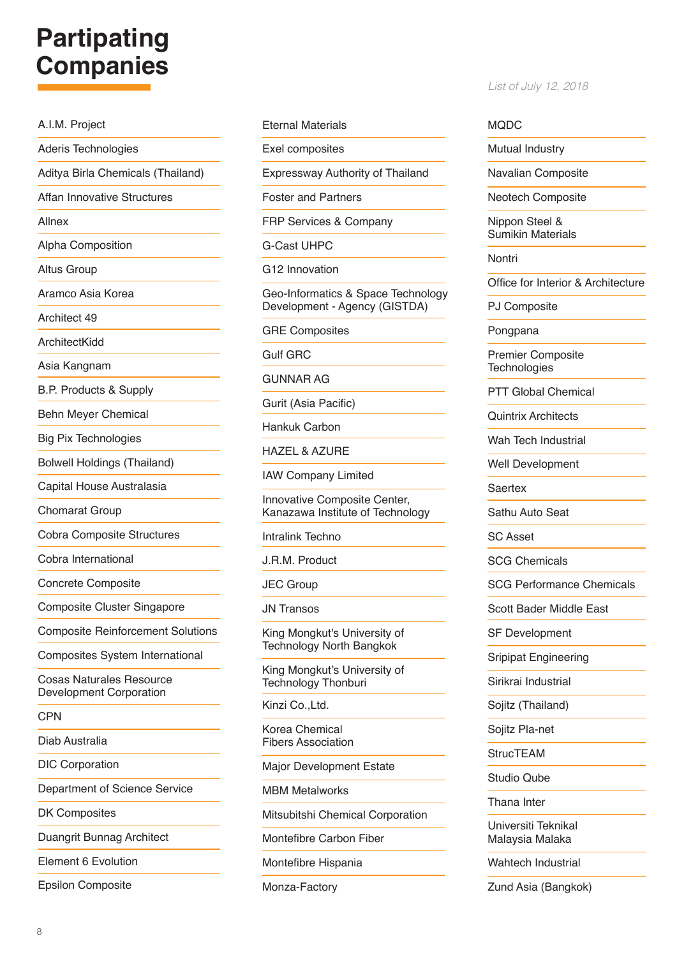# **Partipating Companies**

A.I.M. Project Aderis Technologies Aditya Birla Chemicals (Thailand) Affan Innovative Structures Allnex Alpha Composition Altus Group Aramco Asia Korea Architect 49 **ArchitectKidd** Asia Kangnam B.P. Products & Supply Behn Meyer Chemical Big Pix Technologies Bolwell Holdings (Thailand) Capital House Australasia Chomarat Group Cobra Composite Structures Cobra International Concrete Composite Composite Cluster Singapore Composite Reinforcement Solutions Composites System International Cosas Naturales Resource Development Corporation CPN Diab Australia DIC Corporation Department of Science Service DK Composites Duangrit Bunnag Architect Element 6 Evolution

Epsilon Composite

#### Eternal Materials

Exel composites

Expressway Authority of Thailand

Foster and Partners

FRP Services & Company

G-Cast UHPC

G12 Innovation

Geo-Informatics & Space Technology Development - Agency (GISTDA)

GRE Composites

Gulf GRC

GUNNAR AG

Gurit (Asia Pacific)

Hankuk Carbon

HAZEL & AZURE

IAW Company Limited

Innovative Composite Center, Kanazawa Institute of Technology

Intralink Techno

J.R.M. Product

JEC Group

JN Transos

King Mongkut's University of Technology North Bangkok

King Mongkut's University of Technology Thonburi

Kinzi Co., Ltd.

Korea Chemical Fibers Association

Major Development Estate

MBM Metalworks

Mitsubitshi Chemical Corporation

Montefibre Carbon Fiber

Montefibre Hispania

Monza-Factory

#### *List of July 12, 2018*

#### MODC.

Mutual Industry

Navalian Composite

Neotech Composite

Nippon Steel & Sumikin Materials

Nontri

Office for Interior & Architecture

PJ Composite

Pongpana

Premier Composite **Technologies** 

PTT Global Chemical

Quintrix Architects

Wah Tech Industrial

Well Development

Saertex

Sathu Auto Seat

SC Asset

SCG Chemicals

SCG Performance Chemicals

Scott Bader Middle East

SF Development

Sripipat Engineering

Sirikrai Industrial

Sojitz (Thailand)

Sojitz Pla-net

**StrucTEAM** 

Studio Qube

Thana Inter

Universiti Teknikal Malaysia Malaka

Wahtech Industrial

Zund Asia (Bangkok)